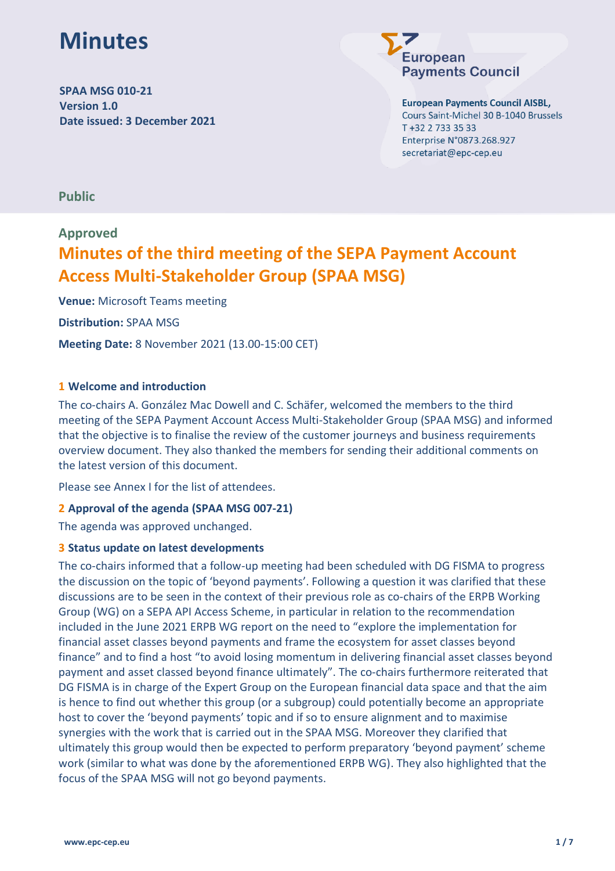# **Minutes**

**SPAA MSG 010-21 Version 1.0 Date issued: 3 December 2021**



**European Payments Council AISBL,** Cours Saint-Michel 30 B-1040 Brussels

T +32 2 733 35 33 Enterprise N°0873.268.927 secretariat@epc-cep.eu

**Public**

### **Approved**

### **Minutes of the third meeting of the SEPA Payment Account Access Multi-Stakeholder Group (SPAA MSG)**

**Venue:** Microsoft Teams meeting **Distribution:** SPAA MSG **Meeting Date:** 8 November 2021 (13.00-15:00 CET)

#### **1 Welcome and introduction**

The co-chairs A. González Mac Dowell and C. Schäfer, welcomed the members to the third meeting of the SEPA Payment Account Access Multi-Stakeholder Group (SPAA MSG) and informed that the objective is to finalise the review of the customer journeys and business requirements overview document. They also thanked the members for sending their additional comments on the latest version of this document.

Please see Annex I for the list of attendees.

#### **2 Approval of the agenda (SPAA MSG 007-21)**

The agenda was approved unchanged.

#### **3 Status update on latest developments**

The co-chairs informed that a follow-up meeting had been scheduled with DG FISMA to progress the discussion on the topic of 'beyond payments'. Following a question it was clarified that these discussions are to be seen in the context of their previous role as co-chairs of the ERPB Working Group (WG) on a SEPA API Access Scheme, in particular in relation to the recommendation included in the June 2021 ERPB WG report on the need to "explore the implementation for financial asset classes beyond payments and frame the ecosystem for asset classes beyond finance" and to find a host "to avoid losing momentum in delivering financial asset classes beyond payment and asset classed beyond finance ultimately". The co-chairs furthermore reiterated that DG FISMA is in charge of the Expert Group on the European financial data space and that the aim is hence to find out whether this group (or a subgroup) could potentially become an appropriate host to cover the 'beyond payments' topic and if so to ensure alignment and to maximise synergies with the work that is carried out in the SPAA MSG. Moreover they clarified that ultimately this group would then be expected to perform preparatory 'beyond payment' scheme work (similar to what was done by the aforementioned ERPB WG). They also highlighted that the focus of the SPAA MSG will not go beyond payments.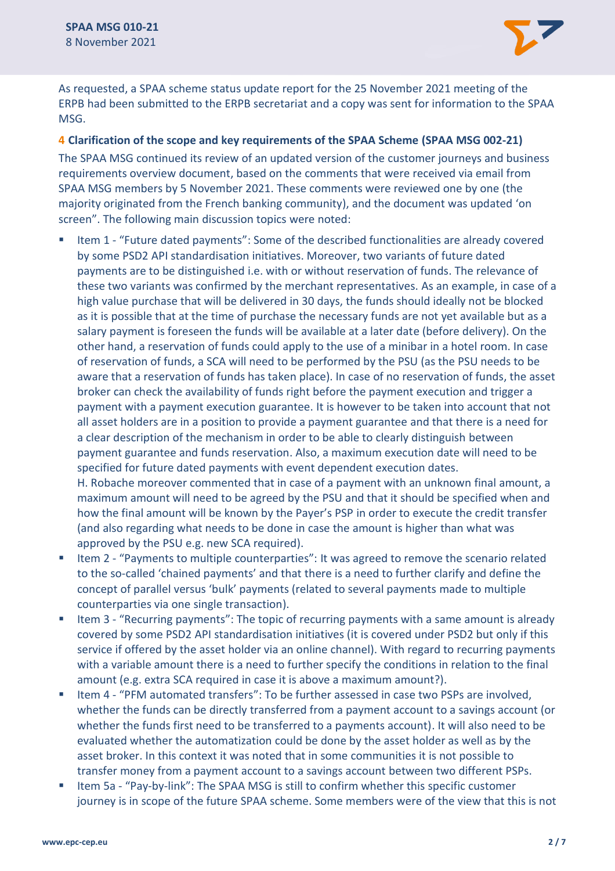

As requested, a SPAA scheme status update report for the 25 November 2021 meeting of the ERPB had been submitted to the ERPB secretariat and a copy was sent for information to the SPAA MSG.

#### **4 Clarification of the scope and key requirements of the SPAA Scheme (SPAA MSG 002-21)**

The SPAA MSG continued its review of an updated version of the customer journeys and business requirements overview document, based on the comments that were received via email from SPAA MSG members by 5 November 2021. These comments were reviewed one by one (the majority originated from the French banking community), and the document was updated 'on screen". The following main discussion topics were noted:

■ Item 1 - "Future dated payments": Some of the described functionalities are already covered by some PSD2 API standardisation initiatives. Moreover, two variants of future dated payments are to be distinguished i.e. with or without reservation of funds. The relevance of these two variants was confirmed by the merchant representatives. As an example, in case of a high value purchase that will be delivered in 30 days, the funds should ideally not be blocked as it is possible that at the time of purchase the necessary funds are not yet available but as a salary payment is foreseen the funds will be available at a later date (before delivery). On the other hand, a reservation of funds could apply to the use of a minibar in a hotel room. In case of reservation of funds, a SCA will need to be performed by the PSU (as the PSU needs to be aware that a reservation of funds has taken place). In case of no reservation of funds, the asset broker can check the availability of funds right before the payment execution and trigger a payment with a payment execution guarantee. It is however to be taken into account that not all asset holders are in a position to provide a payment guarantee and that there is a need for a clear description of the mechanism in order to be able to clearly distinguish between payment guarantee and funds reservation. Also, a maximum execution date will need to be specified for future dated payments with event dependent execution dates. H. Robache moreover commented that in case of a payment with an unknown final amount, a maximum amount will need to be agreed by the PSU and that it should be specified when and

how the final amount will be known by the Payer's PSP in order to execute the credit transfer (and also regarding what needs to be done in case the amount is higher than what was approved by the PSU e.g. new SCA required).

- Item 2 "Payments to multiple counterparties": It was agreed to remove the scenario related to the so-called 'chained payments' and that there is a need to further clarify and define the concept of parallel versus 'bulk' payments (related to several payments made to multiple counterparties via one single transaction).
- Item 3 "Recurring payments": The topic of recurring payments with a same amount is already covered by some PSD2 API standardisation initiatives (it is covered under PSD2 but only if this service if offered by the asset holder via an online channel). With regard to recurring payments with a variable amount there is a need to further specify the conditions in relation to the final amount (e.g. extra SCA required in case it is above a maximum amount?).
- Item 4 "PFM automated transfers": To be further assessed in case two PSPs are involved, whether the funds can be directly transferred from a payment account to a savings account (or whether the funds first need to be transferred to a payments account). It will also need to be evaluated whether the automatization could be done by the asset holder as well as by the asset broker. In this context it was noted that in some communities it is not possible to transfer money from a payment account to a savings account between two different PSPs.
- Item 5a "Pay-by-link": The SPAA MSG is still to confirm whether this specific customer journey is in scope of the future SPAA scheme. Some members were of the view that this is not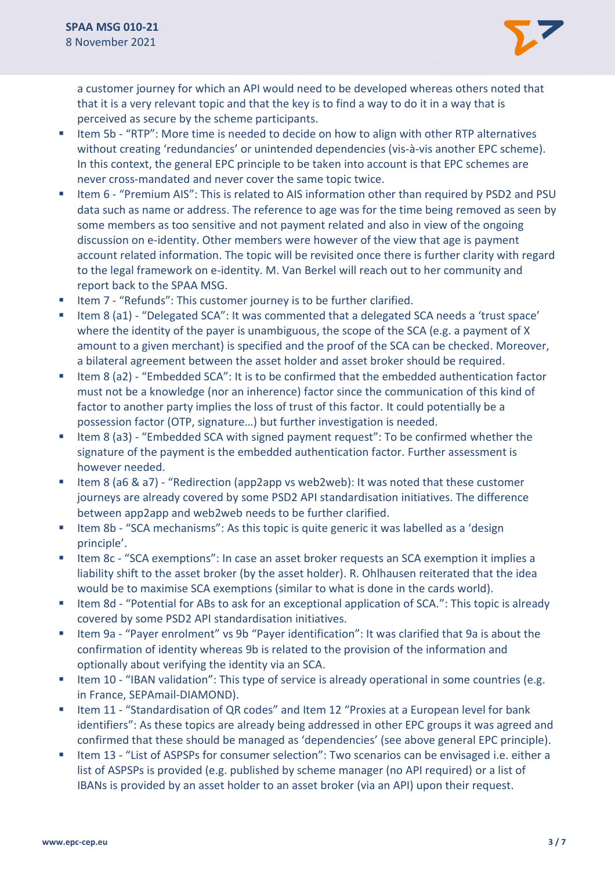

a customer journey for which an API would need to be developed whereas others noted that that it is a very relevant topic and that the key is to find a way to do it in a way that is perceived as secure by the scheme participants.

- Item 5b "RTP": More time is needed to decide on how to align with other RTP alternatives without creating 'redundancies' or unintended dependencies (vis-à-vis another EPC scheme). In this context, the general EPC principle to be taken into account is that EPC schemes are never cross-mandated and never cover the same topic twice.
- Item 6 "Premium AIS": This is related to AIS information other than required by PSD2 and PSU data such as name or address. The reference to age was for the time being removed as seen by some members as too sensitive and not payment related and also in view of the ongoing discussion on e-identity. Other members were however of the view that age is payment account related information. The topic will be revisited once there is further clarity with regard to the legal framework on e-identity. M. Van Berkel will reach out to her community and report back to the SPAA MSG.
- Item 7 "Refunds": This customer journey is to be further clarified.
- Item 8 (a1) "Delegated SCA": It was commented that a delegated SCA needs a 'trust space' where the identity of the payer is unambiguous, the scope of the SCA (e.g. a payment of X amount to a given merchant) is specified and the proof of the SCA can be checked. Moreover, a bilateral agreement between the asset holder and asset broker should be required.
- Item 8 (a2) "Embedded SCA": It is to be confirmed that the embedded authentication factor must not be a knowledge (nor an inherence) factor since the communication of this kind of factor to another party implies the loss of trust of this factor. It could potentially be a possession factor (OTP, signature…) but further investigation is needed.
- Item 8 (a3) "Embedded SCA with signed payment request": To be confirmed whether the signature of the payment is the embedded authentication factor. Further assessment is however needed.
- Item 8 (a6 & a7) "Redirection (app2app vs web2web): It was noted that these customer journeys are already covered by some PSD2 API standardisation initiatives. The difference between app2app and web2web needs to be further clarified.
- Item 8b "SCA mechanisms": As this topic is quite generic it was labelled as a 'design principle'.
- Item 8c "SCA exemptions": In case an asset broker requests an SCA exemption it implies a liability shift to the asset broker (by the asset holder). R. Ohlhausen reiterated that the idea would be to maximise SCA exemptions (similar to what is done in the cards world).
- Item 8d "Potential for ABs to ask for an exceptional application of SCA.": This topic is already covered by some PSD2 API standardisation initiatives.
- Item 9a "Payer enrolment" vs 9b "Payer identification": It was clarified that 9a is about the confirmation of identity whereas 9b is related to the provision of the information and optionally about verifying the identity via an SCA.
- Item 10 "IBAN validation": This type of service is already operational in some countries (e.g. in France, SEPAmail-DIAMOND).
- Item 11 "Standardisation of QR codes" and Item 12 "Proxies at a European level for bank identifiers": As these topics are already being addressed in other EPC groups it was agreed and confirmed that these should be managed as 'dependencies' (see above general EPC principle).
- Item 13 "List of ASPSPs for consumer selection": Two scenarios can be envisaged i.e. either a list of ASPSPs is provided (e.g. published by scheme manager (no API required) or a list of IBANs is provided by an asset holder to an asset broker (via an API) upon their request.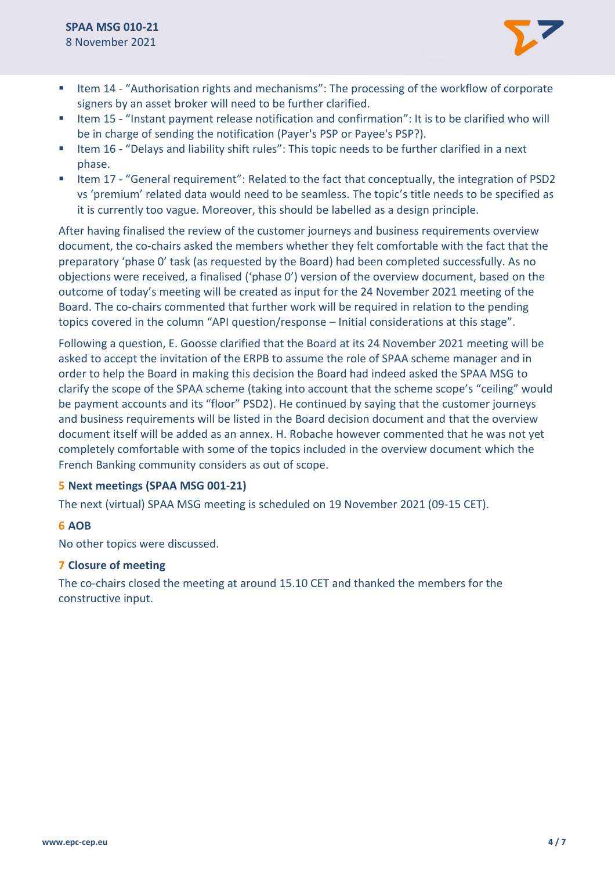

- Item 14 "Authorisation rights and mechanisms": The processing of the workflow of corporate signers by an asset broker will need to be further clarified.
- Item 15 "Instant payment release notification and confirmation": It is to be clarified who will be in charge of sending the notification (Payer's PSP or Payee's PSP?).
- Item 16 "Delays and liability shift rules": This topic needs to be further clarified in a next phase.
- Item 17 "General requirement": Related to the fact that conceptually, the integration of PSD2 vs 'premium' related data would need to be seamless. The topic's title needs to be specified as it is currently too vague. Moreover, this should be labelled as a design principle.

After having finalised the review of the customer journeys and business requirements overview document, the co-chairs asked the members whether they felt comfortable with the fact that the preparatory 'phase 0' task (as requested by the Board) had been completed successfully. As no objections were received, a finalised ('phase 0') version of the overview document, based on the outcome of today's meeting will be created as input for the 24 November 2021 meeting of the Board. The co-chairs commented that further work will be required in relation to the pending topics covered in the column "API question/response – Initial considerations at this stage".

Following a question, E. Goosse clarified that the Board at its 24 November 2021 meeting will be asked to accept the invitation of the ERPB to assume the role of SPAA scheme manager and in order to help the Board in making this decision the Board had indeed asked the SPAA MSG to clarify the scope of the SPAA scheme (taking into account that the scheme scope's "ceiling" would be payment accounts and its "floor" PSD2). He continued by saying that the customer journeys and business requirements will be listed in the Board decision document and that the overview document itself will be added as an annex. H. Robache however commented that he was not yet completely comfortable with some of the topics included in the overview document which the French Banking community considers as out of scope.

#### **5 Next meetings (SPAA MSG 001-21)**

The next (virtual) SPAA MSG meeting is scheduled on 19 November 2021 (09-15 CET).

#### **6 AOB**

No other topics were discussed.

#### **7 Closure of meeting**

The co-chairs closed the meeting at around 15.10 CET and thanked the members for the constructive input.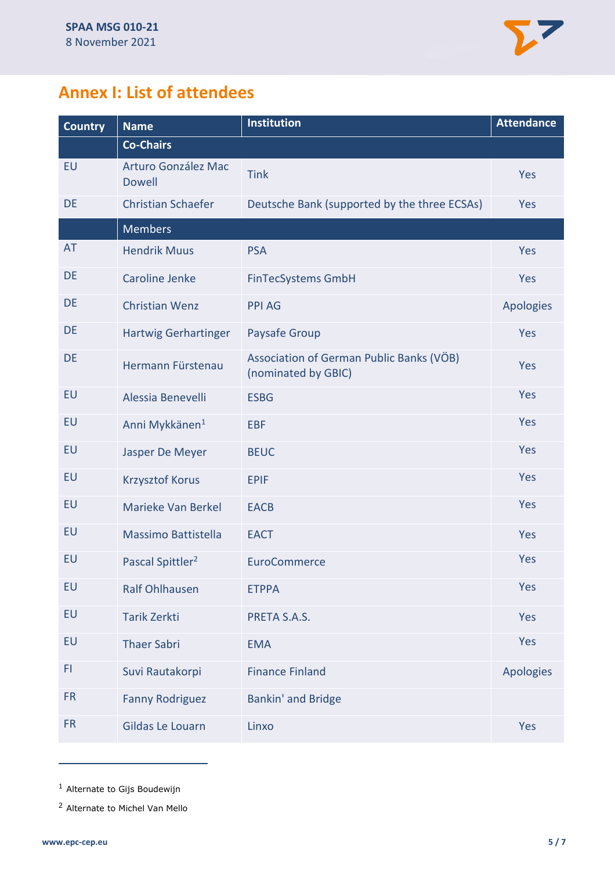

### **Annex I: List of attendees**

| <b>Country</b> | <b>Name</b>                          | <b>Institution</b>                                              | <b>Attendance</b> |
|----------------|--------------------------------------|-----------------------------------------------------------------|-------------------|
|                | <b>Co-Chairs</b>                     |                                                                 |                   |
| <b>EU</b>      | Arturo González Mac<br><b>Dowell</b> | <b>Tink</b>                                                     | Yes               |
| <b>DE</b>      | <b>Christian Schaefer</b>            | Deutsche Bank (supported by the three ECSAs)                    | Yes               |
|                | <b>Members</b>                       |                                                                 |                   |
| <b>AT</b>      | <b>Hendrik Muus</b>                  | <b>PSA</b>                                                      | Yes               |
| DE             | <b>Caroline Jenke</b>                | <b>FinTecSystems GmbH</b>                                       | Yes               |
| <b>DE</b>      | <b>Christian Wenz</b>                | <b>PPI AG</b>                                                   | Apologies         |
| <b>DE</b>      | <b>Hartwig Gerhartinger</b>          | Paysafe Group                                                   | Yes               |
| DE             | Hermann Fürstenau                    | Association of German Public Banks (VÖB)<br>(nominated by GBIC) | Yes               |
| EU             | Alessia Benevelli                    | <b>ESBG</b>                                                     | Yes               |
| <b>EU</b>      | Anni Mykkänen <sup>1</sup>           | <b>EBF</b>                                                      | Yes               |
| EU             | Jasper De Meyer                      | <b>BEUC</b>                                                     | Yes               |
| EU             | <b>Krzysztof Korus</b>               | <b>EPIF</b>                                                     | Yes               |
| <b>EU</b>      | Marieke Van Berkel                   | <b>EACB</b>                                                     | Yes               |
| <b>EU</b>      | Massimo Battistella                  | <b>EACT</b>                                                     | Yes               |
| EU             | Pascal Spittler <sup>2</sup>         | <b>EuroCommerce</b>                                             | Yes               |
| <b>EU</b>      | <b>Ralf Ohlhausen</b>                | <b>ETPPA</b>                                                    | Yes               |
| EU             | <b>Tarik Zerkti</b>                  | PRETA S.A.S.                                                    | Yes               |
| <b>EU</b>      | <b>Thaer Sabri</b>                   | <b>EMA</b>                                                      | Yes               |
| F1             | Suvi Rautakorpi                      | <b>Finance Finland</b>                                          | <b>Apologies</b>  |
| <b>FR</b>      | <b>Fanny Rodriguez</b>               | <b>Bankin' and Bridge</b>                                       |                   |
| <b>FR</b>      | Gildas Le Louarn                     | Linxo                                                           | Yes               |

<sup>1</sup> Alternate to Gijs Boudewijn

<sup>2</sup> Alternate to Michel Van Mello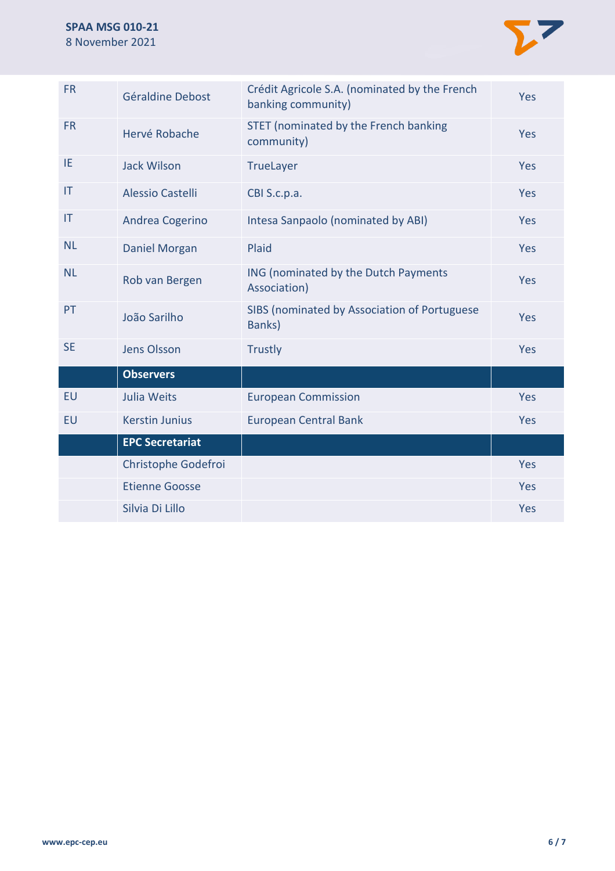

| <b>FR</b> | Géraldine Debost        | Crédit Agricole S.A. (nominated by the French<br>banking community) | Yes        |
|-----------|-------------------------|---------------------------------------------------------------------|------------|
| <b>FR</b> | Hervé Robache           | STET (nominated by the French banking<br>community)                 | <b>Yes</b> |
| IE.       | <b>Jack Wilson</b>      | <b>TrueLayer</b>                                                    | Yes        |
| IT        | <b>Alessio Castelli</b> | CBI S.c.p.a.                                                        | Yes        |
| IT        | Andrea Cogerino         | Intesa Sanpaolo (nominated by ABI)                                  | Yes        |
| <b>NL</b> | <b>Daniel Morgan</b>    | Plaid                                                               | Yes        |
| <b>NL</b> | Rob van Bergen          | ING (nominated by the Dutch Payments<br>Association)                | <b>Yes</b> |
| PT.       | João Sarilho            | SIBS (nominated by Association of Portuguese<br>Banks)              | Yes        |
| <b>SE</b> | <b>Jens Olsson</b>      | <b>Trustly</b>                                                      | <b>Yes</b> |
|           | <b>Observers</b>        |                                                                     |            |
| EU        | Julia Weits             | <b>European Commission</b>                                          | Yes        |
| EU        | <b>Kerstin Junius</b>   | <b>European Central Bank</b>                                        | Yes        |
|           | <b>EPC Secretariat</b>  |                                                                     |            |
|           | Christophe Godefroi     |                                                                     | Yes        |
|           | <b>Etienne Goosse</b>   |                                                                     | Yes        |
|           | Silvia Di Lillo         |                                                                     | Yes        |